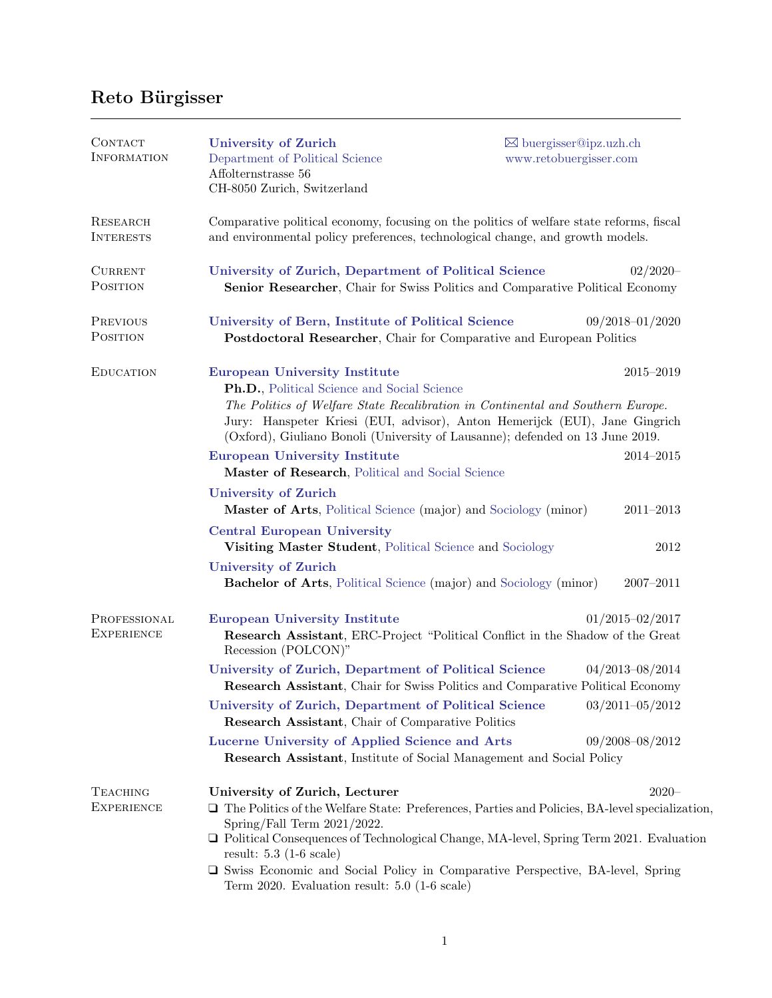## Reto Bürgisser

| CONTACT<br><b>INFORMATION</b>        | <b>University of Zurich</b><br>Department of Political Science<br>Affolternstrasse 56<br>CH-8050 Zurich, Switzerland                                                                                                                                                                           | $\boxtimes$ buergisser@ipz.uzh.ch<br>www.retobuergisser.com                                           |  |  |  |
|--------------------------------------|------------------------------------------------------------------------------------------------------------------------------------------------------------------------------------------------------------------------------------------------------------------------------------------------|-------------------------------------------------------------------------------------------------------|--|--|--|
| RESEARCH<br><b>INTERESTS</b>         | Comparative political economy, focusing on the politics of welfare state reforms, fiscal<br>and environmental policy preferences, technological change, and growth models.                                                                                                                     |                                                                                                       |  |  |  |
| <b>CURRENT</b><br>POSITION           | University of Zurich, Department of Political Science                                                                                                                                                                                                                                          | $02/2020-$<br>Senior Researcher, Chair for Swiss Politics and Comparative Political Economy           |  |  |  |
| <b>PREVIOUS</b><br>POSITION          | University of Bern, Institute of Political Science<br>$09/2018 - 01/2020$<br>Postdoctoral Researcher, Chair for Comparative and European Politics                                                                                                                                              |                                                                                                       |  |  |  |
| <b>EDUCATION</b>                     | <b>European University Institute</b>                                                                                                                                                                                                                                                           | 2015-2019                                                                                             |  |  |  |
|                                      | Ph.D., Political Science and Social Science<br>The Politics of Welfare State Recalibration in Continental and Southern Europe.<br>Jury: Hanspeter Kriesi (EUI, advisor), Anton Hemerijck (EUI), Jane Gingrich<br>(Oxford), Giuliano Bonoli (University of Lausanne); defended on 13 June 2019. |                                                                                                       |  |  |  |
|                                      | $2014 - 2015$<br><b>European University Institute</b><br>Master of Research, Political and Social Science                                                                                                                                                                                      |                                                                                                       |  |  |  |
|                                      | <b>University of Zurich</b><br>Master of Arts, Political Science (major) and Sociology (minor)<br>$2011 - 2013$                                                                                                                                                                                |                                                                                                       |  |  |  |
|                                      | <b>Central European University</b><br>Visiting Master Student, Political Science and Sociology<br>2012                                                                                                                                                                                         |                                                                                                       |  |  |  |
|                                      | <b>University of Zurich</b><br><b>Bachelor of Arts</b> , Political Science (major) and Sociology (minor)                                                                                                                                                                                       | $2007 - 2011$                                                                                         |  |  |  |
| PROFESSIONAL<br><b>EXPERIENCE</b>    | <b>European University Institute</b><br>Recession (POLCON)"                                                                                                                                                                                                                                    | $01/2015 - 02/2017$<br>Research Assistant, ERC-Project "Political Conflict in the Shadow of the Great |  |  |  |
|                                      | University of Zurich, Department of Political Science<br>$04/2013 - 08/2014$<br>Research Assistant, Chair for Swiss Politics and Comparative Political Economy                                                                                                                                 |                                                                                                       |  |  |  |
|                                      | University of Zurich, Department of Political Science<br>$03/2011 - 05/2012$<br>Research Assistant, Chair of Comparative Politics                                                                                                                                                              |                                                                                                       |  |  |  |
|                                      | 09/2008-08/2012<br><b>Lucerne University of Applied Science and Arts</b><br><b>Research Assistant</b> , Institute of Social Management and Social Policy                                                                                                                                       |                                                                                                       |  |  |  |
| <b>TEACHING</b><br><b>EXPERIENCE</b> | University of Zurich, Lecturer<br>$2020 -$<br>$\Box$ The Politics of the Welfare State: Preferences, Parties and Policies, BA-level specialization,<br>Spring/Fall Term $2021/2022$ .                                                                                                          |                                                                                                       |  |  |  |
|                                      | □ Political Consequences of Technological Change, MA-level, Spring Term 2021. Evaluation<br>result: $5.3$ (1-6 scale)                                                                                                                                                                          |                                                                                                       |  |  |  |
|                                      | $\square$ Swiss Economic and Social Policy in Comparative Perspective, BA-level, Spring<br>Term 2020. Evaluation result: $5.0$ (1-6 scale)                                                                                                                                                     |                                                                                                       |  |  |  |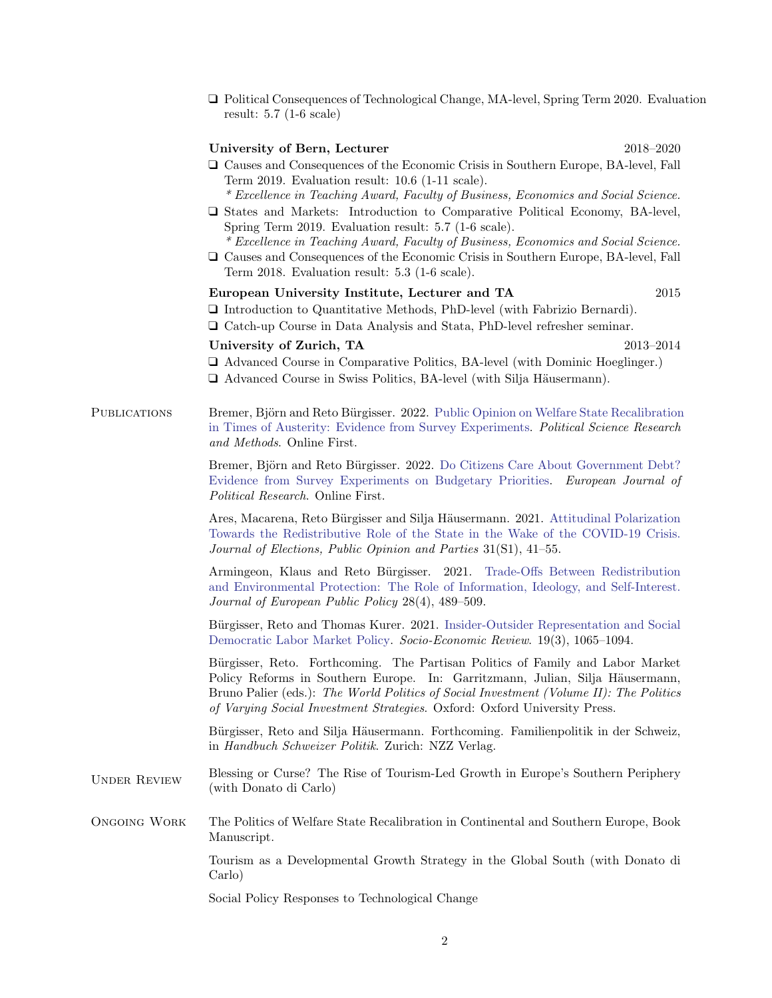❑ Political Consequences of Technological Change, MA-level, Spring Term 2020. Evaluation result: 5.7 (1-6 scale)

## University of Bern, Lecturer 2018–2020

- ❑ Causes and Consequences of the Economic Crisis in Southern Europe, BA-level, Fall Term 2019. Evaluation result: 10.6 (1-11 scale).
	- \* Excellence in Teaching Award, Faculty of Business, Economics and Social Science.
- ❑ States and Markets: Introduction to Comparative Political Economy, BA-level, Spring Term 2019. Evaluation result: 5.7 (1-6 scale).

\* Excellence in Teaching Award, Faculty of Business, Economics and Social Science.

❑ Causes and Consequences of the Economic Crisis in Southern Europe, BA-level, Fall Term 2018. Evaluation result: 5.3 (1-6 scale).

## European University Institute, Lecturer and TA 2015

- ❑ Introduction to Quantitative Methods, PhD-level (with Fabrizio Bernardi).
- ❑ Catch-up Course in Data Analysis and Stata, PhD-level refresher seminar.

## University of Zurich, TA 2013–2014

- ❑ Advanced Course in Comparative Politics, BA-level (with Dominic Hoeglinger.)
- $\Box$  Advanced Course in Swiss Politics, BA-level (with Silja Häusermann).
- PUBLICATIONS Bremer, Björn and Reto Bürgisser. 2022. [Public Opinion on Welfare State Recalibration](https://doi.org/10.1017/psrm.2021.78) [in Times of Austerity: Evidence from Survey Experiments.](https://doi.org/10.1017/psrm.2021.78) Political Science Research and Methods. Online First.

Bremer, Björn and Reto Bürgisser. 2022. [Do Citizens Care About Government Debt?](https://doi.org/10.1111/1475-6765.12505) [Evidence from Survey Experiments on Budgetary Priorities.](https://doi.org/10.1111/1475-6765.12505) European Journal of Political Research. Online First.

Ares, Macarena, Reto Bürgisser and Silja Häusermann. 2021. [Attitudinal Polarization](https://doi.org/10.1080/17457289.2021.1924736) [Towards the Redistributive Role of the State in the Wake of the COVID-19 Crisis.](https://doi.org/10.1080/17457289.2021.1924736) Journal of Elections, Public Opinion and Parties 31(S1), 41–55.

Armingeon, Klaus and Reto Bürgisser. 2021. [Trade-Offs Between Redistribution](https://doi.org/10.1080/13501763.2020.1749715) [and Environmental Protection: The Role of Information, Ideology, and Self-Interest.](https://doi.org/10.1080/13501763.2020.1749715) Journal of European Public Policy 28(4), 489–509.

Bürgisser, Reto and Thomas Kurer. 2021. [Insider-Outsider Representation and Social](https://doi.org/10.1093/ser/mwz040) [Democratic Labor Market Policy.](https://doi.org/10.1093/ser/mwz040) Socio-Economic Review. 19(3), 1065–1094.

Bürgisser, Reto. Forthcoming. The Partisan Politics of Family and Labor Market Policy Reforms in Southern Europe. In: Garritzmann, Julian, Silja Häusermann, Bruno Palier (eds.): The World Politics of Social Investment (Volume II): The Politics of Varying Social Investment Strategies. Oxford: Oxford University Press.

Bürgisser, Reto and Silja Häusermann. Forthcoming. Familienpolitik in der Schweiz, in Handbuch Schweizer Politik. Zurich: NZZ Verlag.

UNDER REVIEW Blessing or Curse? The Rise of Tourism-Led Growth in Europe's Southern Periphery (with Donato di Carlo)

Ongoing Work The Politics of Welfare State Recalibration in Continental and Southern Europe, Book Manuscript.

> Tourism as a Developmental Growth Strategy in the Global South (with Donato di Carlo)

Social Policy Responses to Technological Change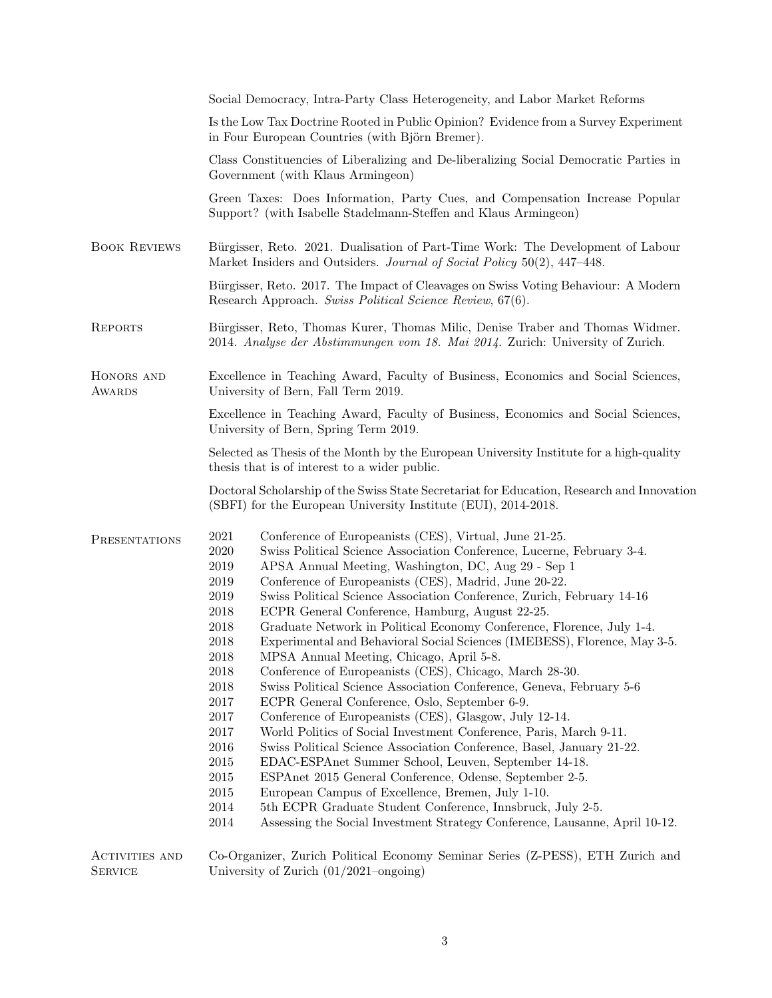|                                         | Social Democracy, Intra-Party Class Heterogeneity, and Labor Market Reforms                                                                                                                                                                                                                                                                                                                                                                                                                                                                                                                                                                                                                                                                                                                                                                                                                                                                                                                                                                                                                                                                                                                                                                                                                                                                                                                                                                                                           |  |  |  |
|-----------------------------------------|---------------------------------------------------------------------------------------------------------------------------------------------------------------------------------------------------------------------------------------------------------------------------------------------------------------------------------------------------------------------------------------------------------------------------------------------------------------------------------------------------------------------------------------------------------------------------------------------------------------------------------------------------------------------------------------------------------------------------------------------------------------------------------------------------------------------------------------------------------------------------------------------------------------------------------------------------------------------------------------------------------------------------------------------------------------------------------------------------------------------------------------------------------------------------------------------------------------------------------------------------------------------------------------------------------------------------------------------------------------------------------------------------------------------------------------------------------------------------------------|--|--|--|
|                                         | Is the Low Tax Doctrine Rooted in Public Opinion? Evidence from a Survey Experiment<br>in Four European Countries (with Björn Bremer).                                                                                                                                                                                                                                                                                                                                                                                                                                                                                                                                                                                                                                                                                                                                                                                                                                                                                                                                                                                                                                                                                                                                                                                                                                                                                                                                                |  |  |  |
|                                         | Class Constituencies of Liberalizing and De-liberalizing Social Democratic Parties in<br>Government (with Klaus Armingeon)                                                                                                                                                                                                                                                                                                                                                                                                                                                                                                                                                                                                                                                                                                                                                                                                                                                                                                                                                                                                                                                                                                                                                                                                                                                                                                                                                            |  |  |  |
|                                         | Green Taxes: Does Information, Party Cues, and Compensation Increase Popular<br>Support? (with Isabelle Stadelmann-Steffen and Klaus Armingeon)                                                                                                                                                                                                                                                                                                                                                                                                                                                                                                                                                                                                                                                                                                                                                                                                                                                                                                                                                                                                                                                                                                                                                                                                                                                                                                                                       |  |  |  |
| <b>BOOK REVIEWS</b>                     | Bürgisser, Reto. 2021. Dualisation of Part-Time Work: The Development of Labour<br>Market Insiders and Outsiders. Journal of Social Policy 50(2), 447-448.                                                                                                                                                                                                                                                                                                                                                                                                                                                                                                                                                                                                                                                                                                                                                                                                                                                                                                                                                                                                                                                                                                                                                                                                                                                                                                                            |  |  |  |
|                                         | Bürgisser, Reto. 2017. The Impact of Cleavages on Swiss Voting Behaviour: A Modern<br>Research Approach. Swiss Political Science Review, 67(6).                                                                                                                                                                                                                                                                                                                                                                                                                                                                                                                                                                                                                                                                                                                                                                                                                                                                                                                                                                                                                                                                                                                                                                                                                                                                                                                                       |  |  |  |
| <b>REPORTS</b>                          | Bürgisser, Reto, Thomas Kurer, Thomas Milic, Denise Traber and Thomas Widmer.<br>2014. Analyse der Abstimmungen vom 18. Mai 2014. Zurich: University of Zurich.                                                                                                                                                                                                                                                                                                                                                                                                                                                                                                                                                                                                                                                                                                                                                                                                                                                                                                                                                                                                                                                                                                                                                                                                                                                                                                                       |  |  |  |
| HONORS AND<br><b>AWARDS</b>             | Excellence in Teaching Award, Faculty of Business, Economics and Social Sciences,<br>University of Bern, Fall Term 2019.                                                                                                                                                                                                                                                                                                                                                                                                                                                                                                                                                                                                                                                                                                                                                                                                                                                                                                                                                                                                                                                                                                                                                                                                                                                                                                                                                              |  |  |  |
|                                         | Excellence in Teaching Award, Faculty of Business, Economics and Social Sciences,<br>University of Bern, Spring Term 2019.                                                                                                                                                                                                                                                                                                                                                                                                                                                                                                                                                                                                                                                                                                                                                                                                                                                                                                                                                                                                                                                                                                                                                                                                                                                                                                                                                            |  |  |  |
|                                         | Selected as Thesis of the Month by the European University Institute for a high-quality<br>thesis that is of interest to a wider public.                                                                                                                                                                                                                                                                                                                                                                                                                                                                                                                                                                                                                                                                                                                                                                                                                                                                                                                                                                                                                                                                                                                                                                                                                                                                                                                                              |  |  |  |
|                                         | Doctoral Scholarship of the Swiss State Secretariat for Education, Research and Innovation<br>(SBFI) for the European University Institute (EUI), 2014-2018.                                                                                                                                                                                                                                                                                                                                                                                                                                                                                                                                                                                                                                                                                                                                                                                                                                                                                                                                                                                                                                                                                                                                                                                                                                                                                                                          |  |  |  |
| <b>PRESENTATIONS</b>                    | $\,2021$<br>Conference of Europeanists (CES), Virtual, June 21-25.<br>Swiss Political Science Association Conference, Lucerne, February 3-4.<br>2020<br>2019<br>APSA Annual Meeting, Washington, DC, Aug 29 - Sep 1<br>Conference of Europeanists (CES), Madrid, June 20-22.<br>2019<br>Swiss Political Science Association Conference, Zurich, February 14-16<br>2019<br>2018<br>ECPR General Conference, Hamburg, August 22-25.<br>Graduate Network in Political Economy Conference, Florence, July 1-4.<br>2018<br>Experimental and Behavioral Social Sciences (IMEBESS), Florence, May 3-5.<br>2018<br>2018<br>MPSA Annual Meeting, Chicago, April 5-8.<br>2018<br>Conference of Europeanists (CES), Chicago, March 28-30.<br>2018<br>Swiss Political Science Association Conference, Geneva, February 5-6<br>2017<br>ECPR General Conference, Oslo, September 6-9.<br>$2017\,$<br>Conference of Europeanists (CES), Glasgow, July 12-14.<br>$2017\,$<br>World Politics of Social Investment Conference, Paris, March 9-11.<br>2016<br>Swiss Political Science Association Conference, Basel, January 21-22.<br>$\,2015$<br>EDAC-ESPAnet Summer School, Leuven, September 14-18.<br>$\,2015$<br>ESPAnet 2015 General Conference, Odense, September 2-5.<br>2015<br>European Campus of Excellence, Bremen, July 1-10.<br>2014<br>5th ECPR Graduate Student Conference, Innsbruck, July 2-5.<br>2014<br>Assessing the Social Investment Strategy Conference, Lausanne, April 10-12. |  |  |  |
| <b>ACTIVITIES AND</b><br><b>SERVICE</b> | Co-Organizer, Zurich Political Economy Seminar Series (Z-PESS), ETH Zurich and<br>University of Zurich $(01/2021$ –ongoing)                                                                                                                                                                                                                                                                                                                                                                                                                                                                                                                                                                                                                                                                                                                                                                                                                                                                                                                                                                                                                                                                                                                                                                                                                                                                                                                                                           |  |  |  |